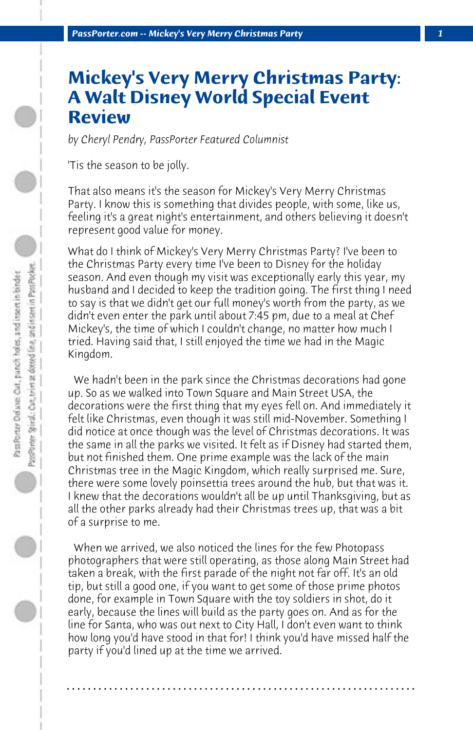## **Mickey's Very Merry Christmas Party: A Walt Disney World Special Event Review**

*by Cheryl Pendry, PassPorter Featured Columnist*

'Tis the season to be jolly.

That also means it's the season for Mickey's Very Merry Christmas Party. I know this is something that divides people, with some, like us, feeling it's a great night's entertainment, and others believing it doesn't represent good value for money.

What do I think of Mickey's Very Merry Christmas Party? I've been to the Christmas Party every time I've been to Disney for the holiday season. And even though my visit was exceptionally early this year, my husband and I decided to keep the tradition going. The first thing I need to say is that we didn't get our full money's worth from the party, as we didn't even enter the park until about 7:45 pm, due to a meal at Chef Mickey's, the time of which I couldn't change, no matter how much I tried. Having said that, I still enjoyed the time we had in the Magic Kingdom.

 We hadn't been in the park since the Christmas decorations had gone up. So as we walked into Town Square and Main Street USA, the decorations were the first thing that my eyes fell on. And immediately it felt like Christmas, even though it was still mid-November. Something I did notice at once though was the level of Christmas decorations. It was the same in all the parks we visited. It felt as if Disney had started them, but not finished them. One prime example was the lack of the main Christmas tree in the Magic Kingdom, which really surprised me. Sure, there were some lovely poinsettia trees around the hub, but that was it. I knew that the decorations wouldn't all be up until Thanksgiving, but as all the other parks already had their Christmas trees up, that was a bit of a surprise to me.

 When we arrived, we also noticed the lines for the few Photopass photographers that were still operating, as those along Main Street had taken a break, with the first parade of the night not far off. It's an old tip, but still a good one, if you want to get some of those prime photos done, for example in Town Square with the toy soldiers in shot, do it early, because the lines will build as the party goes on. And as for the line for Santa, who was out next to City Hall, I don't even want to think how long you'd have stood in that for! I think you'd have missed half the party if you'd lined up at the time we arrived.

**. . . . . . . . . . . . . . . . . . . . . . . . . . . . . . . . . . . . . . . . . . . . . . . . . . . . . . . . . . . . . . . . . .**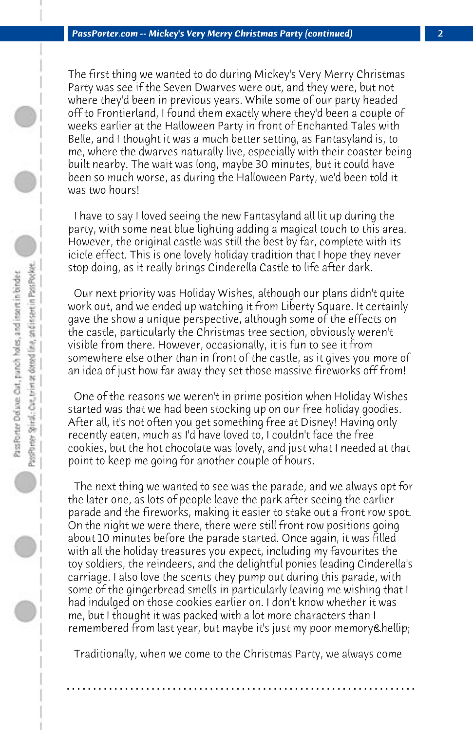The first thing we wanted to do during Mickey's Very Merry Christmas Party was see if the Seven Dwarves were out, and they were, but not where they'd been in previous years. While some of our party headed off to Frontierland, I found them exactly where they'd been a couple of weeks earlier at the Halloween Party in front of Enchanted Tales with Belle, and I thought it was a much better setting, as Fantasyland is, to me, where the dwarves naturally live, especially with their coaster being built nearby. The wait was long, maybe 30 minutes, but it could have been so much worse, as during the Halloween Party, we'd been told it was two hours!

 I have to say I loved seeing the new Fantasyland all lit up during the party, with some neat blue lighting adding a magical touch to this area. However, the original castle was still the best by far, complete with its icicle effect. This is one lovely holiday tradition that I hope they never stop doing, as it really brings Cinderella Castle to life after dark.

 Our next priority was Holiday Wishes, although our plans didn't quite work out, and we ended up watching it from Liberty Square. It certainly gave the show a unique perspective, although some of the effects on the castle, particularly the Christmas tree section, obviously weren't visible from there. However, occasionally, it is fun to see it from somewhere else other than in front of the castle, as it gives you more of an idea of just how far away they set those massive fireworks off from!

 One of the reasons we weren't in prime position when Holiday Wishes started was that we had been stocking up on our free holiday goodies. After all, it's not often you get something free at Disney! Having only recently eaten, much as I'd have loved to, I couldn't face the free cookies, but the hot chocolate was lovely, and just what I needed at that point to keep me going for another couple of hours.

 The next thing we wanted to see was the parade, and we always opt for the later one, as lots of people leave the park after seeing the earlier parade and the fireworks, making it easier to stake out a front row spot. On the night we were there, there were still front row positions going about 10 minutes before the parade started. Once again, it was filled with all the holiday treasures you expect, including my favourites the toy soldiers, the reindeers, and the delightful ponies leading Cinderella's carriage. I also love the scents they pump out during this parade, with some of the gingerbread smells in particularly leaving me wishing that I had indulged on those cookies earlier on. I don't know whether it was me, but I thought it was packed with a lot more characters than I remembered from last year, but maybe it's just my poor memory…

 Traditionally, when we come to the Christmas Party, we always come

**. . . . . . . . . . . . . . . . . . . . . . . . . . . . . . . . . . . . . . . . . . . . . . . . . . . . . . . . . . . . . . . . . .**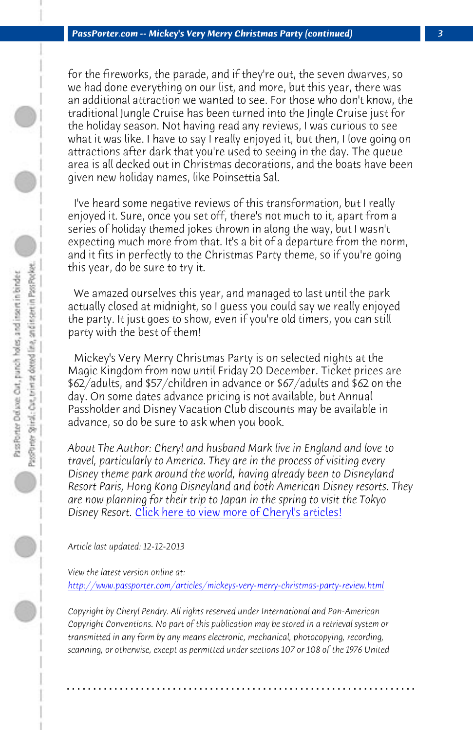*PassPorter.com -- Mickey's Very Merry Christmas Party (continued) 3*

for the fireworks, the parade, and if they're out, the seven dwarves, so

PassPorter Spiral: Cort, orient at dotted line, and insert in Pass Pocket. Pass Porter Delson: Out, panch holes, and insert in binder

we had done everything on our list, and more, but this year, there was an additional attraction we wanted to see. For those who don't know, the traditional Jungle Cruise has been turned into the Jingle Cruise just for the holiday season. Not having read any reviews, I was curious to see what it was like. I have to say I really enjoyed it, but then, I love going on attractions after dark that you're used to seeing in the day. The queue area is all decked out in Christmas decorations, and the boats have been given new holiday names, like Poinsettia Sal. I've heard some negative reviews of this transformation, but I really

enjoyed it. Sure, once you set off, there's not much to it, apart from a series of holiday themed jokes thrown in along the way, but I wasn't expecting much more from that. It's a bit of a departure from the norm, and it fits in perfectly to the Christmas Party theme, so if you're going this year, do be sure to try it.

 We amazed [ourselves this year, and managed to last unti](http://www.passporter.com/articles/cheryl-pendry-featured-columnist.asp)l the park actually closed at midnight, so I guess you could say we really enjoyed the party. It just goes to show, even if you're old timers, you can still party with the best of them!

 Mickey's Very Merry Christmas Party is on selected nights at the [Magic Kingdom from now until Friday 20 December. Ticket prices](http://www.passporter.com/articles/mickeys-very-merry-christmas-party-review.php) are \$62/adults, and \$57/children in advance or \$67/adults and \$62 on the day. On some dates advance pricing is not available, but Annual Passholder and Disney Vacation Club discounts may be available in advance, so do be sure to ask when you book.

*About The Author: Cheryl and husband Mark live in England and love to travel, particularly to America. They are in the process of visiting every Disney theme park around the world, having already been to Disneyland Resort Paris, Hong Kong Disneyland and both American Disney resorts. They are now planning for their trip to Japan in the spring to visit the Tokyo Disney Resort.* Click here to view more of Cheryl's articles!

*Article last updated: 12-12-2013*

*View the latest version online at: http://www.passporter.com/articles/mickeys-very-merry-christmas-party-review.html*

*Copyright by Cheryl Pendry. All rights reserved under International and Pan-American Copyright Conventions. No part of this publication may be stored in a retrieval system or transmitted in any form by any means electronic, mechanical, photocopying, recording, scanning, or otherwise, except as permitted under sections 107 or 108 of the 1976 United*

**. . . . . . . . . . . . . . . . . . . . . . . . . . . . . . . . . . . . . . . . . . . . . . . . . . . . . . . . . . . . . . . . . .**